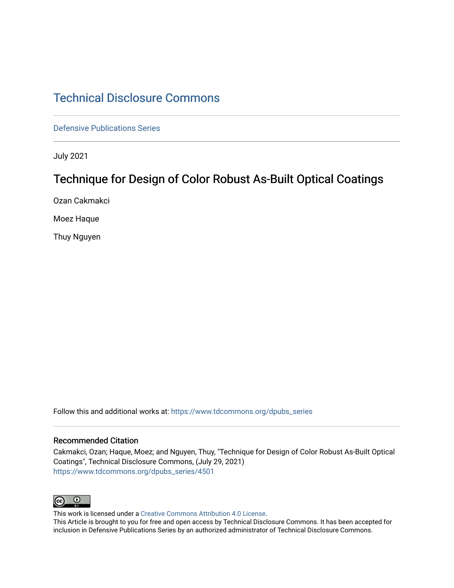## [Technical Disclosure Commons](https://www.tdcommons.org/)

[Defensive Publications Series](https://www.tdcommons.org/dpubs_series)

July 2021

# Technique for Design of Color Robust As-Built Optical Coatings

Ozan Cakmakci

Moez Haque

Thuy Nguyen

Follow this and additional works at: [https://www.tdcommons.org/dpubs\\_series](https://www.tdcommons.org/dpubs_series?utm_source=www.tdcommons.org%2Fdpubs_series%2F4501&utm_medium=PDF&utm_campaign=PDFCoverPages) 

#### Recommended Citation

Cakmakci, Ozan; Haque, Moez; and Nguyen, Thuy, "Technique for Design of Color Robust As-Built Optical Coatings", Technical Disclosure Commons, (July 29, 2021) [https://www.tdcommons.org/dpubs\\_series/4501](https://www.tdcommons.org/dpubs_series/4501?utm_source=www.tdcommons.org%2Fdpubs_series%2F4501&utm_medium=PDF&utm_campaign=PDFCoverPages)



This work is licensed under a [Creative Commons Attribution 4.0 License](http://creativecommons.org/licenses/by/4.0/deed.en_US).

This Article is brought to you for free and open access by Technical Disclosure Commons. It has been accepted for inclusion in Defensive Publications Series by an authorized administrator of Technical Disclosure Commons.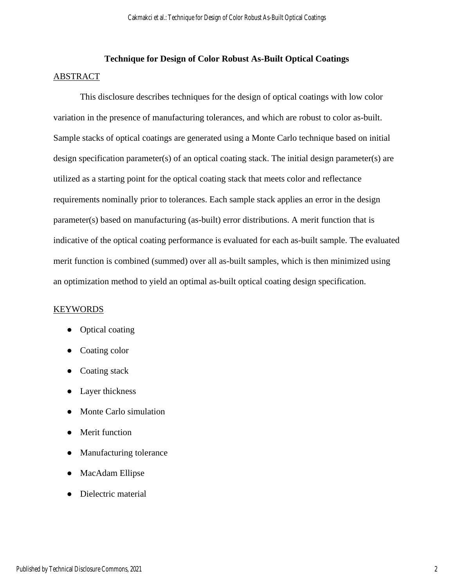## **Technique for Design of Color Robust As-Built Optical Coatings** ABSTRACT

This disclosure describes techniques for the design of optical coatings with low color variation in the presence of manufacturing tolerances, and which are robust to color as-built. Sample stacks of optical coatings are generated using a Monte Carlo technique based on initial design specification parameter(s) of an optical coating stack. The initial design parameter(s) are utilized as a starting point for the optical coating stack that meets color and reflectance requirements nominally prior to tolerances. Each sample stack applies an error in the design parameter(s) based on manufacturing (as-built) error distributions. A merit function that is indicative of the optical coating performance is evaluated for each as-built sample. The evaluated merit function is combined (summed) over all as-built samples, which is then minimized using an optimization method to yield an optimal as-built optical coating design specification.

### KEYWORDS

- Optical coating
- Coating color
- Coating stack
- Layer thickness
- Monte Carlo simulation
- Merit function
- Manufacturing tolerance
- MacAdam Ellipse
- Dielectric material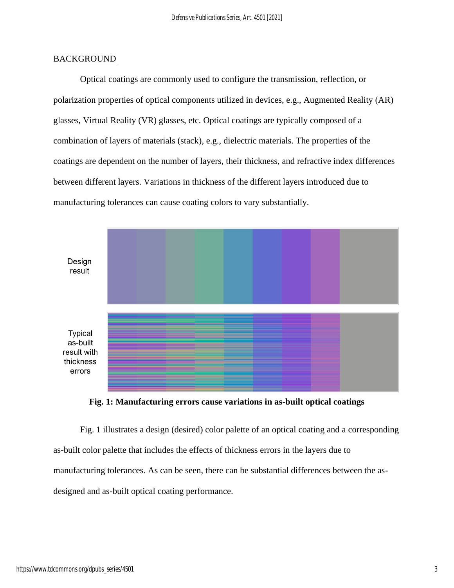## **BACKGROUND**

Optical coatings are commonly used to configure the transmission, reflection, or polarization properties of optical components utilized in devices, e.g., Augmented Reality (AR) glasses, Virtual Reality (VR) glasses, etc. Optical coatings are typically composed of a combination of layers of materials (stack), e.g., dielectric materials. The properties of the coatings are dependent on the number of layers, their thickness, and refractive index differences between different layers. Variations in thickness of the different layers introduced due to manufacturing tolerances can cause coating colors to vary substantially.



**Fig. 1: Manufacturing errors cause variations in as-built optical coatings** 

Fig. 1 illustrates a design (desired) color palette of an optical coating and a corresponding as-built color palette that includes the effects of thickness errors in the layers due to manufacturing tolerances. As can be seen, there can be substantial differences between the asdesigned and as-built optical coating performance.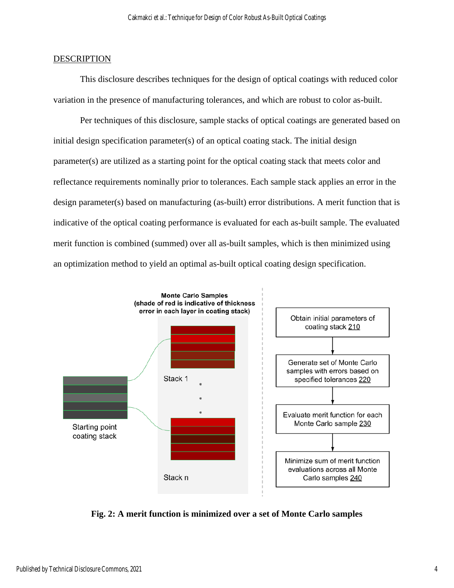#### **DESCRIPTION**

This disclosure describes techniques for the design of optical coatings with reduced color variation in the presence of manufacturing tolerances, and which are robust to color as-built.

Per techniques of this disclosure, sample stacks of optical coatings are generated based on initial design specification parameter(s) of an optical coating stack. The initial design parameter(s) are utilized as a starting point for the optical coating stack that meets color and reflectance requirements nominally prior to tolerances. Each sample stack applies an error in the design parameter(s) based on manufacturing (as-built) error distributions. A merit function that is indicative of the optical coating performance is evaluated for each as-built sample. The evaluated merit function is combined (summed) over all as-built samples, which is then minimized using an optimization method to yield an optimal as-built optical coating design specification.



**Fig. 2: A merit function is minimized over a set of Monte Carlo samples**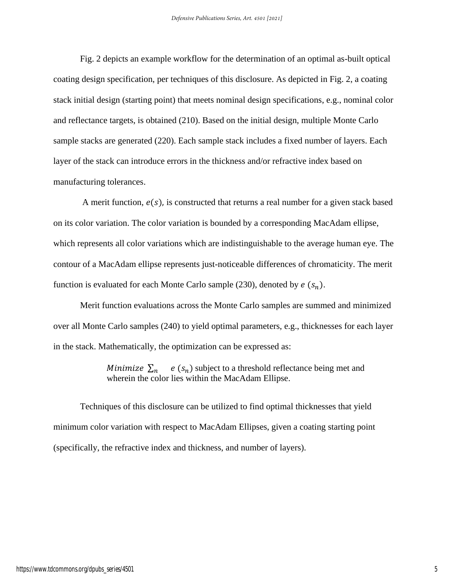Fig. 2 depicts an example workflow for the determination of an optimal as-built optical coating design specification, per techniques of this disclosure. As depicted in Fig. 2, a coating stack initial design (starting point) that meets nominal design specifications, e.g., nominal color and reflectance targets, is obtained (210). Based on the initial design, multiple Monte Carlo sample stacks are generated (220). Each sample stack includes a fixed number of layers. Each layer of the stack can introduce errors in the thickness and/or refractive index based on manufacturing tolerances.

A merit function,  $e(s)$ , is constructed that returns a real number for a given stack based on its color variation. The color variation is bounded by a corresponding MacAdam ellipse, which represents all color variations which are indistinguishable to the average human eye. The contour of a MacAdam ellipse represents just-noticeable differences of chromaticity. The merit function is evaluated for each Monte Carlo sample (230), denoted by  $e(s_n)$ .

Merit function evaluations across the Monte Carlo samples are summed and minimized over all Monte Carlo samples (240) to yield optimal parameters, e.g., thicknesses for each layer in the stack. Mathematically, the optimization can be expressed as:

> *Minimize*  $\Sigma_n$  e  $(s_n)$  subject to a threshold reflectance being met and wherein the color lies within the MacAdam Ellipse.

Techniques of this disclosure can be utilized to find optimal thicknesses that yield minimum color variation with respect to MacAdam Ellipses, given a coating starting point (specifically, the refractive index and thickness, and number of layers).